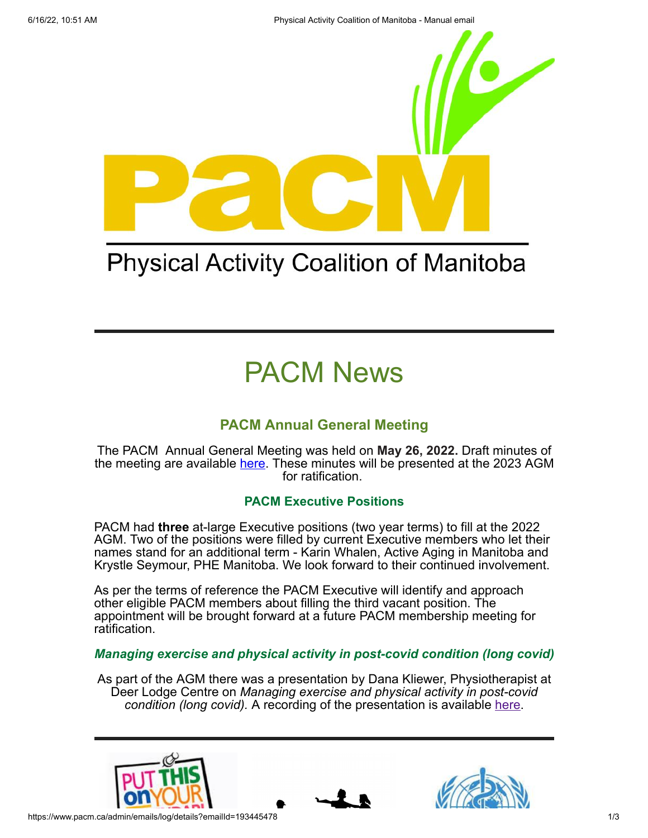

# **Physical Activity Coalition of Manitoba**

# PACM News

## **PACM Annual General Meeting**

The PACM Annual General Meeting was held on **May 26, 2022.** Draft minutes of the meeting are available [here.](https://www.pacm.ca/resources/Documents/Member%20Meetings/PACM%20AGM%20May%2026%202022%20Draft%20Minutes.pdf) These minutes will be presented at the 2023 AGM for ratification.

### **PACM Executive Positions**

PACM had **three** at-large Executive positions (two year terms) to fill at the 2022 AGM. Two of the positions were filled by current Executive members who let their names stand for an additional term - Karin Whalen, Active Aging in Manitoba and Krystle Seymour, PHE Manitoba. We look forward to their continued involvement.

As per the terms of reference the PACM Executive will identify and approach other eligible PACM members about filling the third vacant position. The appointment will be brought forward at a future PACM membership meeting for ratification.

### *Managing exercise and physical activity in post-covid condition (long covid)*

As part of the AGM there was a presentation by Dana Kliewer, Physiotherapist at Deer Lodge Centre on *Managing exercise and physical activity in post-covid condition (long covid).* A recording of the presentation is available [here.](https://www.youtube.com/watch?v=qrXLNLqDxDM)





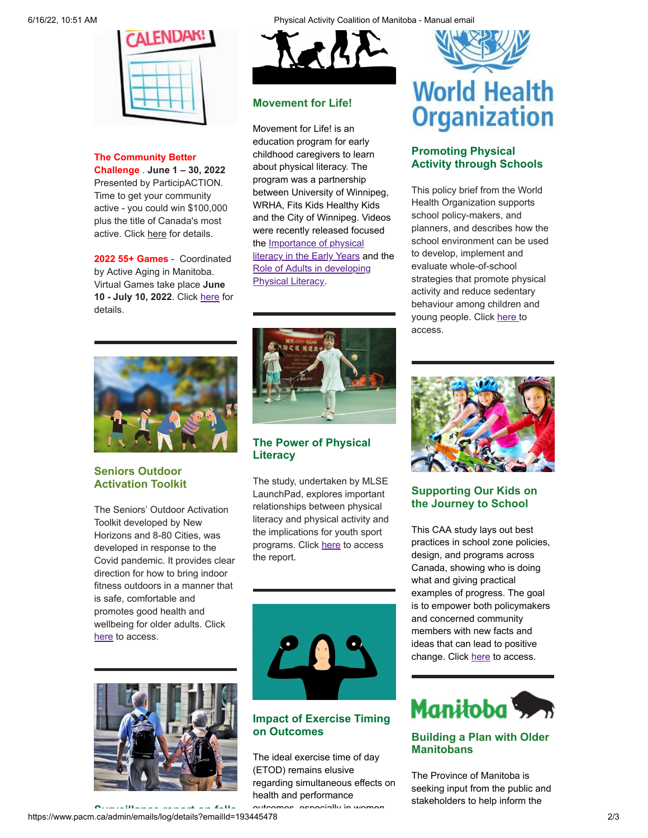

#### **The Community Better**

**Challenge** . **June 1 – 30, 2022** Presented by ParticipACTION. Time to get your community active - you could win \$100,000 plus the title of Canada's most active. Click [here](https://www.participaction.com/en-ca/programs/community-challenge?utm_term=ParticipACTION%20Community%20Challenge%20Toolkits%20Download&utm_campaign=CBCGrantAnnouncement_Sector_Dec14_EN&utm_content=email&utm_source=Sector&utm_medium=Email&cm_mmc=Act-On%20Software-_-email-_-Your%20Community%20Better%20Challenge%20digital%20toolkit%20is%20here!-_-ParticipACTION%20Community%20Challenge%20Toolkits%20Download#ToolkitsEN#ToolkitsEN) for details.

**2022 55+ Games** - Coordinated by Active Aging in Manitoba. Virtual Games take place **June 10 - July 10, 2022**. Click [here](https://activeagingmb.ca/55games/about-the-games/) for details.



#### **Movement for Life!**

Movement for Life! is an education program for early childhood caregivers to learn about physical literacy. The program was a partnership between University of Winnipeg, WRHA, Fits Kids Healthy Kids and the City of Winnipeg. Videos were recently released focused [the Importance of physical](https://www.youtube.com/watch?v=s2JAinoZ2rs) literacy in the Early Years and the [Role of Adults in developing](https://www.youtube.com/watch?v=ibMYlrzwm44) Physical Literacy.



# **World Health Organization**

### **Promoting Physical Activity through Schools**

This policy brief from the World Health Organization supports school policy-makers, and planners, and describes how the school environment can be used to develop, implement and evaluate whole-of-school strategies that promote physical activity and reduce sedentary behaviour among children and young people. Click [here](https://www.who.int/publications/i/item/9789240049567) to access.



### **Seniors Outdoor Activation Toolkit**

The Seniors' Outdoor Activation Toolkit developed by New Horizons and 8-80 Cities, was developed in response to the Covid pandemic. It provides clear direction for how to bring indoor fitness outdoors in a manner that is safe, comfortable and promotes good health and wellbeing for older adults. Click [here](https://www.880cities.org/wp-content/uploads/2022/03/Seniors-Outdoor-Activation-Toolkit-English.pdf) to access.



https://www.pacm.ca/admin/emails/log/details?emailId=193445478 2/3 **Surveillance report on falls**



#### **The Power of Physical Literacy**

The study, undertaken by MLSE LaunchPad, explores important relationships between physical literacy and physical activity and the implications for youth sport programs. Click [here](https://ssl.mlse.digital/foundation/MLSELP_Physical%20Literacy%20Report%20final.pdf) to access the report.



#### **Impact of Exercise Timing on Outcomes**

The ideal exercise time of day (ETOD) remains elusive regarding simultaneous effects on health and performance

outcomes especially in women



#### **Supporting Our Kids on the Journey to School**

This CAA study lays out best practices in school zone policies, design, and programs across Canada, showing who is doing what and giving practical examples of progress. The goal is to empower both policymakers and concerned community members with new facts and ideas that can lead to positive change. Click [here](https://www.caa.ca/app/uploads/2022/06/Supporting-our-kids-on-the-school-journey-to-school.pdf) to access.



### **Building a Plan with Older Manitobans**

The Province of Manitoba is seeking input from the public and stakeholders to help inform the